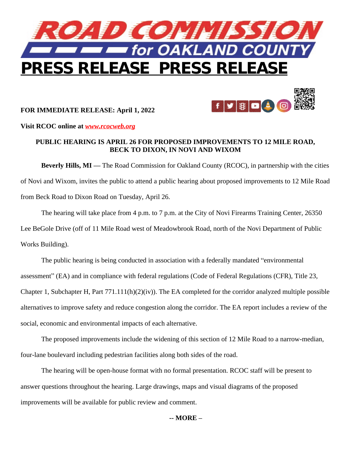

## **FOR IMMEDIATE RELEASE: April 1, 2022**



**Visit RCOC online at** *[www.rcocweb.org](http://www.rcocweb.org)*

## **PUBLIC HEARING IS APRIL 26 FOR PROPOSED IMPROVEMENTS TO 12 MILE ROAD, BECK TO DIXON, IN NOVI AND WIXOM**

**Beverly Hills, MI —** The Road Commission for Oakland County (RCOC), in partnership with the cities of Novi and Wixom, invites the public to attend a public hearing about proposed improvements to 12 Mile Road from Beck Road to Dixon Road on Tuesday, April 26.

The hearing will take place from 4 p.m. to 7 p.m. at the City of Novi Firearms Training Center, 26350 Lee BeGole Drive (off of 11 Mile Road west of Meadowbrook Road, north of the Novi Department of Public Works Building).

The public hearing is being conducted in association with a federally mandated "environmental assessment" (EA) and in compliance with federal regulations (Code of Federal Regulations (CFR), Title 23, Chapter 1, Subchapter H, Part  $771.111(h)(2)(iv)$ . The EA completed for the corridor analyzed multiple possible alternatives to improve safety and reduce congestion along the corridor. The EA report includes a review of the social, economic and environmental impacts of each alternative.

The proposed improvements include the widening of this section of 12 Mile Road to a narrow-median, four-lane boulevard including pedestrian facilities along both sides of the road.

The hearing will be open-house format with no formal presentation. RCOC staff will be present to answer questions throughout the hearing. Large drawings, maps and visual diagrams of the proposed improvements will be available for public review and comment.